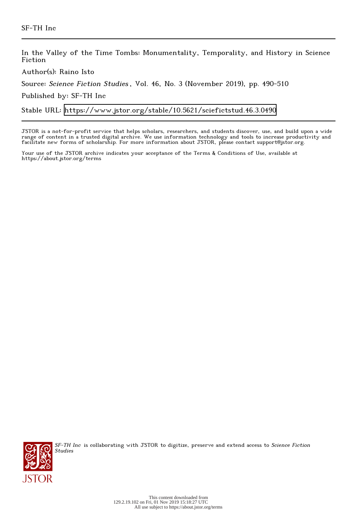In the Valley of the Time Tombs: Monumentality, Temporality, and History in Science Fiction

Author(s): Raino Isto

Source: Science Fiction Studies , Vol. 46, No. 3 (November 2019), pp. 490-510

Published by: SF-TH Inc

Stable URL:<https://www.jstor.org/stable/10.5621/sciefictstud.46.3.0490>

JSTOR is a not-for-profit service that helps scholars, researchers, and students discover, use, and build upon a wide range of content in a trusted digital archive. We use information technology and tools to increase productivity and facilitate new forms of scholarship. For more information about JSTOR, please contact support@jstor.org.

Your use of the JSTOR archive indicates your acceptance of the Terms & Conditions of Use, available at https://about.jstor.org/terms



SF-TH Inc is collaborating with JSTOR to digitize, preserve and extend access to Science Fiction Studies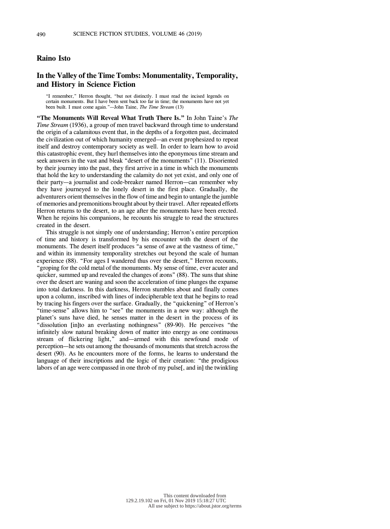## **Raino Isto**

# **In the Valley of the Time Tombs: Monumentality, Temporality, and History in Science Fiction**

"I remember," Herron thought, "but not distinctly. I must read the incised legends on certain monuments. But I have been sent back too far in time; the monuments have not yet been built. I must come again."—John Taine, *The Time Stream* (13)

**"The Monuments Will Reveal What Truth There Is."** In John Taine's *The Time Stream* (1936), a group of men travel backward through time to understand the origin of a calamitous event that, in the depths of a forgotten past, decimated the civilization out of which humanity emerged—an event prophesized to repeat itself and destroy contemporary society as well. In order to learn how to avoid this catastrophic event, they hurl themselves into the eponymous time stream and seek answers in the vast and bleak "desert of the monuments" (11). Disoriented by their journey into the past, they first arrive in a time in which the monuments that hold the key to understanding the calamity do not yet exist, and only one of their party—a journalist and code-breaker named Herron—can remember why they have journeyed to the lonely desert in the first place. Gradually, the adventurers orient themselvesin the flow of time and begin to untangle the jumble of memories and premonitions brought about by their travel. After repeated efforts Herron returns to the desert, to an age after the monuments have been erected. When he rejoins his companions, he recounts his struggle to read the structures created in the desert.

This struggle is not simply one of understanding; Herron's entire perception of time and history is transformed by his encounter with the desert of the monuments. The desert itself produces "a sense of awe at the vastness of time," and within its immensity temporality stretches out beyond the scale of human experience (88). "For ages I wandered thus over the desert," Herron recounts, "groping for the cold metal of the monuments. My sense of time, ever acuter and quicker, summed up and revealed the changes of æons" (88). The suns that shine over the desert are waning and soon the acceleration of time plunges the expanse into total darkness. In this darkness, Herron stumbles about and finally comes upon a column, inscribed with lines of indecipherable text that he begins to read by tracing his fingers over the surface. Gradually, the "quickening" of Herron's "time-sense" allows him to "see" the monuments in a new way: although the planet's suns have died, he senses matter in the desert in the process of its "dissolution [in]to an everlasting nothingness" (89-90). He perceives "the infinitely slow natural breaking down of matter into energy as one continuous stream of flickering light," and—armed with this newfound mode of perception—he sets out among the thousands of monuments that stretch across the desert (90). As he encounters more of the forms, he learns to understand the language of their inscriptions and the logic of their creation: "the prodigious labors of an age were compassed in one throb of my pulse<sup>[, and in]</sup> the twinkling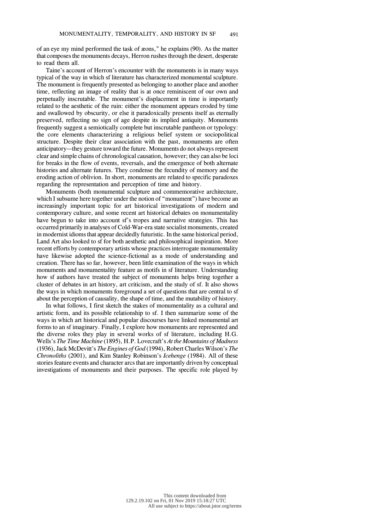of an eye my mind performed the task of æons," he explains (90). As the matter that composes the monuments decays, Herron rushes through the desert, desperate to read them all.

Taine's account of Herron's encounter with the monuments is in many ways typical of the way in which sf literature has characterized monumental sculpture. The monument is frequently presented as belonging to another place and another time, reflecting an image of reality that is at once reminiscent of our own and perpetually inscrutable. The monument's displacement in time is importantly related to the aesthetic of the ruin: either the monument appears eroded by time and swallowed by obscurity, or else it paradoxically presents itself as eternally preserved, reflecting no sign of age despite its implied antiquity. Monuments frequently suggest a semiotically complete but inscrutable pantheon or typology: the core elements characterizing a religious belief system or sociopolitical structure. Despite their clear association with the past, monuments are often anticipatory—they gesture toward the future. Monuments do not always represent clear and simple chains of chronological causation, however; they can also be loci for breaks in the flow of events, reversals, and the emergence of both alternate histories and alternate futures. They condense the fecundity of memory and the eroding action of oblivion. In short, monuments are related to specific paradoxes regarding the representation and perception of time and history.

Monuments (both monumental sculpture and commemorative architecture, which I subsume here together under the notion of "monument") have become an increasingly important topic for art historical investigations of modern and contemporary culture, and some recent art historical debates on monumentality have begun to take into account sf's tropes and narrative strategies. This has occurred primarily in analyses of Cold-War-era state socialist monuments, created in modernist idioms that appear decidedly futuristic. In the same historical period, Land Art also looked to sf for both aesthetic and philosophical inspiration. More recent efforts by contemporary artists whose practices interrogate monumentality have likewise adopted the science-fictional as a mode of understanding and creation. There has so far, however, been little examination of the ways in which monuments and monumentality feature as motifs in sf literature. Understanding how sf authors have treated the subject of monuments helps bring together a cluster of debates in art history, art criticism, and the study of sf. It also shows the ways in which monuments foreground a set of questions that are central to sf about the perception of causality, the shape of time, and the mutability of history.

In what follows, I first sketch the stakes of monumentality as a cultural and artistic form, and its possible relationship to sf. I then summarize some of the ways in which art historical and popular discourses have linked monumental art forms to an sf imaginary. Finally, I explore how monuments are represented and the diverse roles they play in several works of sf literature, including H.G. Wells's *The Time Machine* (1895), H.P. Lovecraft's *At the Mountains of Madness* (1936),Jack McDevitt's *The Engines of God* (1994), Robert Charles Wilson's *The Chronoliths* (2001), and Kim Stanley Robinson's *Icehenge* (1984). All of these stories feature events and character arcs that are importantly driven by conceptual investigations of monuments and their purposes. The specific role played by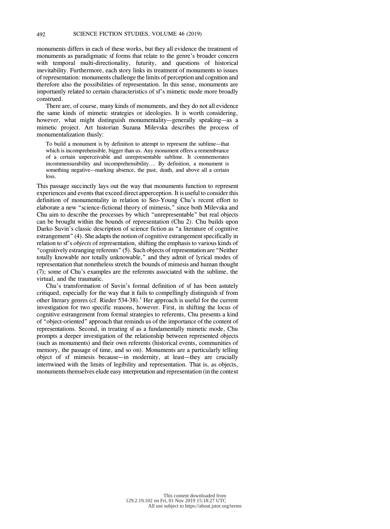monuments differs in each of these works, but they all evidence the treatment of monuments as paradigmatic sf forms that relate to the genre's broader concern with temporal multi-directionality, futurity, and questions of historical inevitability. Furthermore, each story links its treatment of monuments to issues ofrepresentation: monuments challenge the limits of perception and cognition and therefore also the possibilities of representation. In this sense, monuments are importantly related to certain characteristics of sf's mimetic mode more broadly construed.

There are, of course, many kinds of monuments, and they do not all evidence the same kinds of mimetic strategies or ideologies. It is worth considering, however, what might distinguish monumentality—generally speaking—as a mimetic project. Art historian Suzana Milevska describes the process of monumentalization thusly:

To build a monument is by definition to attempt to represent the sublime—that which is incomprehensible, bigger than us. Any monument offers a remembrance of a certain unperceivable and unrepresentable sublime. It commemorates incommensurability and incomprehensibility…. By definition, a monument is something negative—marking absence, the past, death, and above all a certain loss.

This passage succinctly lays out the way that monuments function to represent experiences and events that exceed direct apperception. It is useful to consider this definition of monumentality in relation to Seo-Young Chu's recent effort to elaborate a new "science-fictional theory of mimesis," since both Milevska and Chu aim to describe the processes by which "unrepresentable" but real objects can be brought within the bounds of representation (Chu 2). Chu builds upon Darko Suvin's classic description of science fiction as "a literature of cognitive estrangement" (4). She adapts the notion of cognitive estrangement specifically in relation to sf's *objects* of representation, shifting the emphasis to various kinds of "cognitively estranging referents" (5). Such objects ofrepresentation are "Neither totally knowable nor totally unknowable," and they admit of lyrical modes of representation that nonetheless stretch the bounds of mimesis and human thought (7); some of Chu's examples are the referents associated with the sublime, the virtual, and the traumatic.

Chu's transformation of Suvin's formal definition of sf has been astutely critiqued, especially for the way that it fails to compellingly distinguish sf from other literary genres (cf. Rieder 534-38). <sup>1</sup> Her approach is useful for the current investigation for two specific reasons, however. First, in shifting the locus of cognitive estrangement from formal strategies to referents, Chu presents a kind of "object-oriented" approach that reminds us of the importance of the content of representations. Second, in treating sf as a fundamentally mimetic mode, Chu prompts a deeper investigation of the relationship between represented objects (such as monuments) and their own referents (historical events, communities of memory, the passage of time, and so on). Monuments are a particularly telling object of sf mimesis because—in modernity, at least—they are crucially intertwined with the limits of legibility and representation. That is, as objects, monuments themselves elude easy interpretation and representation (in the context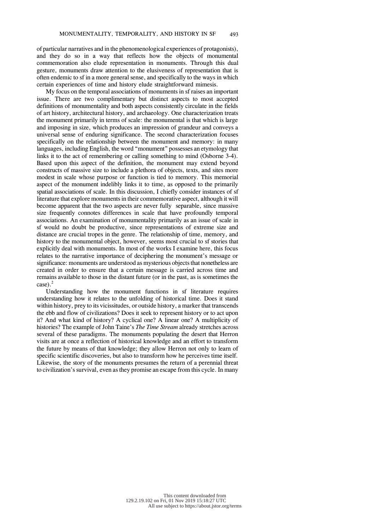of particular narratives and in the phenomenological experiences of protagonists), and they do so in a way that reflects how the objects of monumental commemoration also elude representation in monuments. Through this dual gesture, monuments draw attention to the elusiveness of representation that is often endemic to sf in a more general sense, and specifically to the ways in which certain experiences of time and history elude straightforward mimesis.

My focus on the temporal associations of monuments in sf raises an important issue. There are two complimentary but distinct aspects to most accepted definitions of monumentality and both aspects consistently circulate in the fields of art history, architectural history, and archaeology. One characterization treats the monument primarily in terms of scale: the monumental is that which is large and imposing in size, which produces an impression of grandeur and conveys a universal sense of enduring significance. The second characterization focuses specifically on the relationship between the monument and memory: in many languages, including English, the word "monument" possesses an etymology that links it to the act of remembering or calling something to mind (Osborne 3-4). Based upon this aspect of the definition, the monument may extend beyond constructs of massive size to include a plethora of objects, texts, and sites more modest in scale whose purpose or function is tied to memory. This memorial aspect of the monument indelibly links it to time, as opposed to the primarily spatial associations of scale. In this discussion, I chiefly consider instances of sf literature that explore monumentsin their commemorative aspect, although it will become apparent that the two aspects are never fully separable, since massive size frequently connotes differences in scale that have profoundly temporal associations. An examination of monumentality primarily as an issue of scale in sf would no doubt be productive, since representations of extreme size and distance are crucial tropes in the genre. The relationship of time, memory, and history to the monumental object, however, seems most crucial to sf stories that explicitly deal with monuments. In most of the works I examine here, this focus relates to the narrative importance of deciphering the monument's message or significance: monuments are understood as mysterious objects that nonetheless are created in order to ensure that a certain message is carried across time and remains available to those in the distant future (or in the past, as is sometimes the case). 2

Understanding how the monument functions in sf literature requires understanding how it relates to the unfolding of historical time. Does it stand within history, prey to its vicissitudes, or outside history, a marker that transcends the ebb and flow of civilizations? Does it seek to represent history or to act upon it? And what kind of history? A cyclical one? A linear one? A multiplicity of histories? The example of John Taine's *The Time Stream* already stretches across several of these paradigms. The monuments populating the desert that Herron visits are at once a reflection of historical knowledge and an effort to transform the future by means of that knowledge; they allow Herron not only to learn of specific scientific discoveries, but also to transform how he perceives time itself. Likewise, the story of the monuments presumes the return of a perennial threat to civilization's survival, even as they promise an escape from this cycle. In many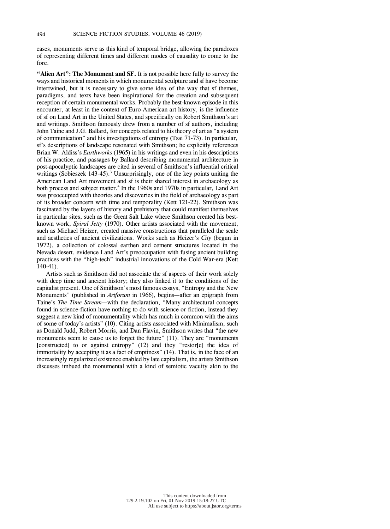cases, monuments serve as this kind of temporal bridge, allowing the paradoxes of representing different times and different modes of causality to come to the fore.

**"Alien Art": The Monument and SF.** It is not possible here fully to survey the ways and historical moments in which monumental sculpture and sf have become intertwined, but it is necessary to give some idea of the way that sf themes, paradigms, and texts have been inspirational for the creation and subsequent reception of certain monumental works. Probably the best-known episode in this encounter, at least in the context of Euro-American art history, is the influence of sf on Land Art in the United States, and specifically on Robert Smithson's art and writings. Smithson famously drew from a number of sf authors, including John Taine and J.G. Ballard, for concepts related to his theory of art as "a system of communication" and his investigations of entropy (Tsai 71-73). In particular, sf's descriptions of landscape resonated with Smithson; he explicitly references Brian W. Aldiss's *Earthworks* (1965) in his writings and even in his descriptions of his practice, and passages by Ballard describing monumental architecture in post-apocalyptic landscapes are cited in several of Smithson's influential critical writings (Sobieszek 143-45).<sup>3</sup> Unsurprisingly, one of the key points uniting the American Land Art movement and sf is their shared interest in archaeology as both process and subject matter. 4 In the 1960s and 1970s in particular, Land Art was preoccupied with theories and discoveries in the field of archaeology as part of its broader concern with time and temporality (Kett 121-22). Smithson was fascinated by the layers of history and prehistory that could manifest themselves in particular sites, such as the Great Salt Lake where Smithson created his bestknown work, *Spiral Jetty* (1970). Other artists associated with the movement, such as Michael Heizer, created massive constructions that paralleled the scale and aesthetics of ancient civilizations. Works such as Heizer's *City* (begun in 1972), a collection of colossal earthen and cement structures located in the Nevada desert, evidence Land Art's preoccupation with fusing ancient building practices with the "high-tech" industrial innovations of the Cold War-era (Kett 140-41).

Artists such as Smithson did not associate the sf aspects of their work solely with deep time and ancient history; they also linked it to the conditions of the capitalist present. One of Smithson's most famous essays, "Entropy and the New Monuments" (published in *Artforum* in 1966), begins—after an epigraph from Taine's *The Time Stream*—with the declaration, "Many architectural concepts found in science-fiction have nothing to do with science or fiction, instead they suggest a new kind of monumentality which has much in common with the aims of some of today's artists" (10). Citing artists associated with Minimalism, such as Donald Judd, Robert Morris, and Dan Flavin, Smithson writes that "the new monuments seem to cause us to forget the future" (11). They are "monuments [constructed] to or against entropy" (12) and they "restor[e] the idea of immortality by accepting it as a fact of emptiness" (14). That is, in the face of an increasingly regularized existence enabled by late capitalism, the artists Smithson discusses imbued the monumental with a kind of semiotic vacuity akin to the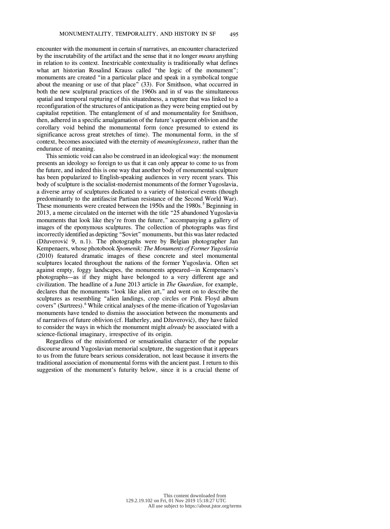encounter with the monument in certain sf narratives, an encounter characterized by the inscrutability of the artifact and the sense that it no longer *means* anything in relation to its context. Inextricable contextuality is traditionally what defines what art historian Rosalind Krauss called "the logic of the monument"; monuments are created "in a particular place and speak in a symbolical tongue about the meaning or use of that place" (33). For Smithson, what occurred in both the new sculptural practices of the 1960s and in sf was the simultaneous spatial and temporal rupturing of this situatedness, a rupture that was linked to a reconfiguration of the structures of anticipation asthey were being emptied out by capitalist repetition. The entanglement of sf and monumentality for Smithson, then, adhered in a specific amalgamation of the future's apparent oblivion and the corollary void behind the monumental form (once presumed to extend its significance across great stretches of time). The monumental form, in the sf context, becomes associated with the eternity of *meaninglessness*, rather than the endurance of meaning.

Thissemiotic void can also be construed in an ideological way: the monument presents an ideology so foreign to us that it can only appear to come to us from the future, and indeed this is one way that another body of monumental sculpture has been popularized to English-speaking audiences in very recent years. This body of sculpture is the socialist-modernist monuments of the former Yugoslavia, a diverse array of sculptures dedicated to a variety of historical events (though predominantly to the antifascist Partisan resistance of the Second World War). These monuments were created between the 1950s and the 1980s. <sup>5</sup> Beginning in 2013, a meme circulated on the internet with the title "25 abandoned Yugoslavia monuments that look like they're from the future," accompanying a gallery of images of the eponymous sculptures. The collection of photographs was first incorrectly identified as depicting "Soviet" monuments, but this was later redacted (Džuverović 9, n.1). The photographs were by Belgian photographer Jan Kempenaers, whose photobook *Spomenik: The Monuments of Former Yugoslavia* (2010) featured dramatic images of these concrete and steel monumental sculptures located throughout the nations of the former Yugoslavia. Often set against empty, foggy landscapes, the monuments appeared—in Kempenaers's photographs—as if they might have belonged to a very different age and civilization. The headline of a June 2013 article in *The Guardian*, for example, declares that the monuments "look like alien art," and went on to describe the sculptures as resembling "alien landings, crop circles or Pink Floyd album covers" (Surtrees). <sup>6</sup> While critical analyses of the meme-ification of Yugoslavian monuments have tended to dismiss the association between the monuments and sf narratives of future oblivion (cf. Hatherley, and Džuverović), they have failed to consider the ways in which the monument might *already* be associated with a science-fictional imaginary, irrespective of its origin.

Regardless of the misinformed or sensationalist character of the popular discourse around Yugoslavian memorial sculpture, the suggestion that it appears to us from the future bears serious consideration, not least because it inverts the traditional association of monumental forms with the ancient past. I return to this suggestion of the monument's futurity below, since it is a crucial theme of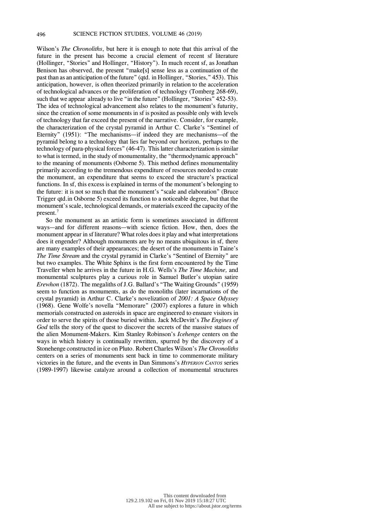Wilson's *The Chronoliths*, but here it is enough to note that this arrival of the future in the present has become a crucial element of recent sf literature (Hollinger, "Stories" and Hollinger, "History"). In much recent sf, as Jonathan Benison has observed, the present "make[s] sense less as a continuation of the past than as an anticipation of the future" (qtd. in Hollinger, "Stories," 453). This anticipation, however, is often theorized primarily in relation to the acceleration of technological advances or the proliferation of technology (Tomberg 268-69), such that we appear already to live "in the future" (Hollinger, "Stories" 452-53). The idea of technological advancement also relates to the monument's futurity, since the creation of some monuments in sf is posited as possible only with levels of technology that far exceed the present of the narrative. Consider, for example, the characterization of the crystal pyramid in Arthur C. Clarke's "Sentinel of Eternity" (1951): "The mechanisms—if indeed they are mechanisms—of the pyramid belong to a technology that lies far beyond our horizon, perhaps to the technology of para-physical forces" (46-47). This latter characterization is similar to what is termed, in the study of monumentality, the "thermodynamic approach" to the meaning of monuments (Osborne 5). This method defines monumentality primarily according to the tremendous expenditure of resources needed to create the monument, an expenditure that seems to exceed the structure's practical functions. In sf, this excess is explained in terms of the monument's belonging to the future: it is not so much that the monument's "scale and elaboration" (Bruce Trigger qtd.in Osborne 5) exceed its function to a noticeable degree, but that the monument's scale, technological demands, or materials exceed the capacity of the present. 7

So the monument as an artistic form is sometimes associated in different ways—and for different reasons—with science fiction. How, then, does the monument appear in sf literature? What roles does it play and what interpretations does it engender? Although monuments are by no means ubiquitous in sf, there are many examples of their appearances; the desert of the monuments in Taine's *The Time Stream* and the crystal pyramid in Clarke's "Sentinel of Eternity" are but two examples. The White Sphinx is the first form encountered by the Time Traveller when he arrives in the future in H.G. Wells's *The Time Machine,* and monumental sculptures play a curious role in Samuel Butler's utopian satire *Erewhon* (1872). The megaliths of J.G. Ballard's "The Waiting Grounds" (1959) seem to function as monuments, as do the monoliths (later incarnations of the crystal pyramid) in Arthur C. Clarke's novelization of *2001: A Space Odyssey* (1968)*.* Gene Wolfe's novella "Memorare" (2007) explores a future in which memorials constructed on asteroids in space are engineered to ensnare visitors in order to serve the spirits of those buried within. Jack McDevitt's *The Engines of God* tells the story of the quest to discover the secrets of the massive statues of the alien Monument-Makers. Kim Stanley Robinson's *Icehenge* centers on the ways in which history is continually rewritten, spurred by the discovery of a Stonehenge constructed in ice on Pluto. Robert Charles Wilson's *The Chronoliths* centers on a series of monuments sent back in time to commemorate military victories in the future, and the events in Dan Simmons's *HYPERION CANTOS* series (1989-1997) likewise catalyze around a collection of monumental structures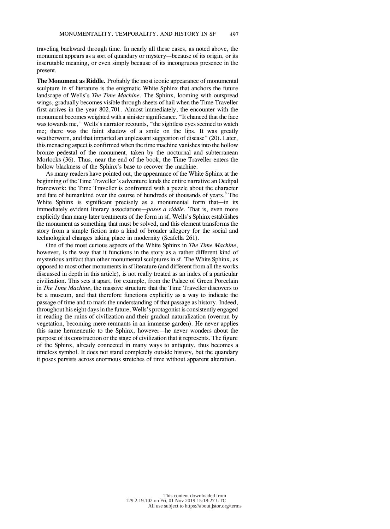traveling backward through time. In nearly all these cases, as noted above, the monument appears as a sort of quandary or mystery—because of its origin, or its inscrutable meaning, or even simply because of its incongruous presence in the present.

**The Monument as Riddle.** Probably the most iconic appearance of monumental sculpture in sf literature is the enigmatic White Sphinx that anchors the future landscape of Wells's *The Time Machine*. The Sphinx, looming with outspread wings, gradually becomes visible through sheets of hail when the Time Traveller first arrives in the year 802,701. Almost immediately, the encounter with the monument becomes weighted with a sinister significance. "It chanced that the face was towards me," Wells's narrator recounts, "the sightless eyes seemed to watch me; there was the faint shadow of a smile on the lips. It was greatly weatherworn, and that imparted an unpleasant suggestion of disease" (20). Later, this menacing aspect is confirmed when the time machine vanishesinto the hollow bronze pedestal of the monument, taken by the nocturnal and subterranean Morlocks (36). Thus, near the end of the book, the Time Traveller enters the hollow blackness of the Sphinx's base to recover the machine.

As many readers have pointed out, the appearance of the White Sphinx at the beginning of the Time Traveller's adventure lends the entire narrative an Oedipal framework: the Time Traveller is confronted with a puzzle about the character and fate of humankind over the course of hundreds of thousands of years. <sup>8</sup> The White Sphinx is significant precisely as a monumental form that—in its immediately evident literary associations—*poses a riddle*. That is, even more explicitly than many later treatments of the form in sf, Wells's Sphinx establishes the monument as something that must be solved, and this element transforms the story from a simple fiction into a kind of broader allegory for the social and technological changes taking place in modernity (Scafella 261).

One of the most curious aspects of the White Sphinx in *The Time Machine*, however, is the way that it functions in the story as a rather different kind of mysterious artifact than other monumental sculptures in sf. The White Sphinx, as opposed to most other monumentsin sf literature (and different from all the works discussed in depth in this article), is not really treated as an index of a particular civilization. This sets it apart, for example, from the Palace of Green Porcelain in *The Time Machine*, the massive structure that the Time Traveller discovers to be a museum, and that therefore functions explicitly as a way to indicate the passage of time and to mark the understanding of that passage as history. Indeed, throughout his eight daysin the future, Wells's protagonist is consistently engaged in reading the ruins of civilization and their gradual naturalization (overrun by vegetation, becoming mere remnants in an immense garden). He never applies this same hermeneutic to the Sphinx, however—he never wonders about the purpose of its construction or the stage of civilization that it represents. The figure of the Sphinx, already connected in many ways to antiquity, thus becomes a timeless symbol. It does not stand completely outside history, but the quandary it poses persists across enormous stretches of time without apparent alteration.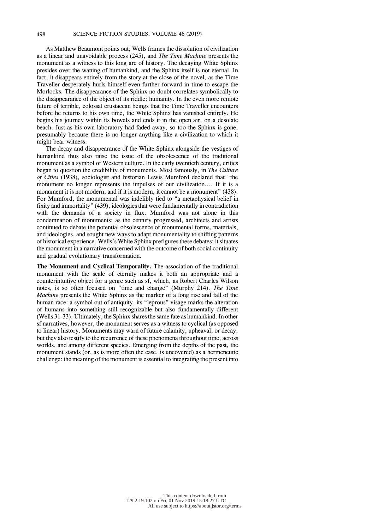As Matthew Beaumont points out, Wells frames the dissolution of civilization as a linear and unavoidable process (245), and *The Time Machine* presents the monument as a witness to this long arc of history. The decaying White Sphinx presides over the waning of humankind, and the Sphinx itself is not eternal. In fact, it disappears entirely from the story at the close of the novel, as the Time Traveller desperately hurls himself even further forward in time to escape the Morlocks. The disappearance of the Sphinx no doubt correlates symbolically to the disappearance of the object of its riddle: humanity. In the even more remote future of terrible, colossal crustacean beings that the Time Traveller encounters before he returns to his own time, the White Sphinx has vanished entirely. He begins his journey within its bowels and ends it in the open air, on a desolate beach. Just as his own laboratory had faded away, so too the Sphinx is gone, presumably because there is no longer anything like a civilization to which it might bear witness.

The decay and disappearance of the White Sphinx alongside the vestiges of humankind thus also raise the issue of the obsolescence of the traditional monument as a symbol of Western culture. In the early twentieth century, critics began to question the credibility of monuments. Most famously, in *The Culture of Cities* (1938), sociologist and historian Lewis Mumford declared that "the monument no longer represents the impulses of our civilization.... If it is a monument it is not modern, and if it is modern, it cannot be a monument" (438). For Mumford, the monumental was indelibly tied to "a metaphysical belief in fixity and immortality" (439), ideologiesthat were fundamentally in contradiction with the demands of a society in flux. Mumford was not alone in this condemnation of monuments; as the century progressed, architects and artists continued to debate the potential obsolescence of monumental forms, materials, and ideologies, and sought new ways to adapt monumentality to shifting patterns of historical experience. Wells's White Sphinx prefiguresthese debates: itsituates the monument in a narrative concerned with the outcome of both social continuity and gradual evolutionary transformation.

**The Monument and Cyclical Temporality.** The association of the traditional monument with the scale of eternity makes it both an appropriate and a counterintuitive object for a genre such as sf, which, as Robert Charles Wilson notes, is so often focused on "time and change" (Murphy 214). *The Time Machine* presents the White Sphinx as the marker of a long rise and fall of the human race: a symbol out of antiquity, its "leprous" visage marks the alteration of humans into something still recognizable but also fundamentally different (Wells 31-33). Ultimately, the Sphinx shares the same fate as humankind. In other sf narratives, however, the monument serves as a witness to cyclical (as opposed to linear) history. Monuments may warn of future calamity, upheaval, or decay, but they also testify to the recurrence of these phenomena throughout time, across worlds, and among different species. Emerging from the depths of the past, the monument stands (or, as is more often the case, is uncovered) as a hermeneutic challenge: the meaning of the monument is essential to integrating the present into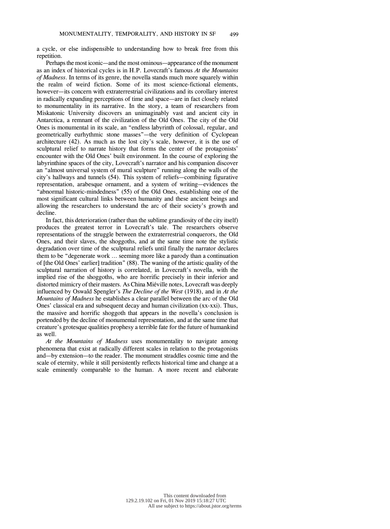a cycle, or else indispensible to understanding how to break free from this repetition.

Perhaps the most iconic—and the most ominous—appearance of the monument as an index of historical cycles is in H.P. Lovecraft's famous *At the Mountains of Madness*. In terms of its genre, the novella stands much more squarely within the realm of weird fiction. Some of its most science-fictional elements, however—its concern with extraterrestrial civilizations and its corollary interest in radically expanding perceptions of time and space—are in fact closely related to monumentality in its narrative. In the story, a team of researchers from Miskatonic University discovers an unimaginably vast and ancient city in Antarctica, a remnant of the civilization of the Old Ones. The city of the Old Ones is monumental in its scale, an "endless labyrinth of colossal, regular, and geometrically eurhythmic stone masses"—the very definition of Cyclopean architecture (42). As much as the lost city's scale, however, it is the use of sculptural relief to narrate history that forms the center of the protagonists' encounter with the Old Ones' built environment. In the course of exploring the labyrinthine spaces of the city, Lovecraft's narrator and his companion discover an "almost universal system of mural sculpture" running along the walls of the city's hallways and tunnels (54). This system of reliefs—combining figurative representation, arabesque ornament, and a system of writing—evidences the "abnormal historic-mindedness" (55) of the Old Ones, establishing one of the most significant cultural links between humanity and these ancient beings and allowing the researchers to understand the arc of their society's growth and decline.

In fact, this deterioration (rather than the sublime grandiosity of the city itself) produces the greatest terror in Lovecraft's tale. The researchers observe representations of the struggle between the extraterrestrial conquerors, the Old Ones, and their slaves, the shoggoths, and at the same time note the stylistic degradation over time of the sculptural reliefs until finally the narrator declares them to be "degenerate work … seeming more like a parody than a continuation of [the Old Ones' earlier] tradition" (88). The waning of the artistic quality of the sculptural narration of history is correlated, in Lovecraft's novella, with the implied rise of the shoggoths, who are horrific precisely in their inferior and distorted mimicry of their masters. AsChina Miéville notes, Lovecraft was deeply influenced by Oswald Spengler's *The Decline of the West* (1918), and in *At the Mountains of Madness* he establishes a clear parallel between the arc of the Old Ones' classical era and subsequent decay and human civilization (xx-xxi). Thus, the massive and horrific shoggoth that appears in the novella's conclusion is portended by the decline of monumental representation, and at the same time that creature's grotesque qualities prophesy a terrible fate for the future of humankind as well.

*At the Mountains of Madness* uses monumentality to navigate among phenomena that exist at radically different scales in relation to the protagonists and—by extension—to the reader. The monument straddles cosmic time and the scale of eternity, while it still persistently reflects historical time and change at a scale eminently comparable to the human. A more recent and elaborate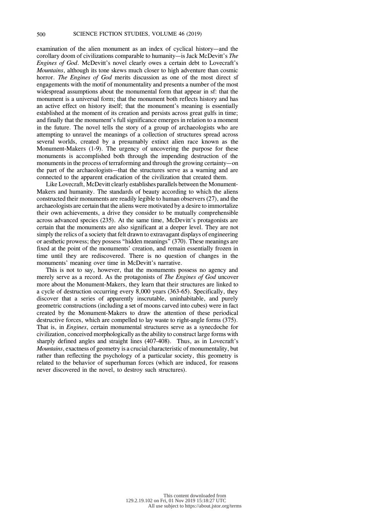examination of the alien monument as an index of cyclical history—and the corollary doom of civilizations comparable to humanity—is Jack McDevitt's *The Engines of God*. McDevitt's novel clearly owes a certain debt to Lovecraft's *Mountains*, although its tone skews much closer to high adventure than cosmic horror. *The Engines of God* merits discussion as one of the most direct sf engagements with the motif of monumentality and presents a number of the most widespread assumptions about the monumental form that appear in sf: that the monument is a universal form; that the monument both reflects history and has an active effect on history itself; that the monument's meaning is essentially established at the moment of its creation and persists across great gulfs in time; and finally that the monument's full significance emerges in relation to a moment in the future. The novel tells the story of a group of archaeologists who are attempting to unravel the meanings of a collection of structures spread across several worlds, created by a presumably extinct alien race known as the Monument-Makers (1-9). The urgency of uncovering the purpose for these monuments is accomplished both through the impending destruction of the monuments in the process of terraforming and through the growing certainty—on the part of the archaeologists—that the structures serve as a warning and are connected to the apparent eradication of the civilization that created them.

Like Lovecraft, McDevitt clearly establishes parallels between the Monument-Makers and humanity. The standards of beauty according to which the aliens constructed their monuments are readily legible to human observers (27), and the archaeologists are certain that the aliens were motivated by a desire to immortalize their own achievements, a drive they consider to be mutually comprehensible across advanced species (235). At the same time, McDevitt's protagonists are certain that the monuments are also significant at a deeper level. They are not simply the relics of a society that felt drawn to extravagant displays of engineering or aesthetic prowess; they possess "hidden meanings" (370). These meanings are fixed at the point of the monuments' creation, and remain essentially frozen in time until they are rediscovered. There is no question of changes in the monuments' meaning over time in McDevitt's narrative.

This is not to say, however, that the monuments possess no agency and merely serve as a record. As the protagonists of *The Engines of God* uncover more about the Monument-Makers, they learn that their structures are linked to a cycle of destruction occurring every 8,000 years (363-65). Specifically, they discover that a series of apparently inscrutable, uninhabitable, and purely geometric constructions (including a set of moons carved into cubes) were in fact created by the Monument-Makers to draw the attention of these periodical destructive forces, which are compelled to lay waste to right-angle forms (375). That is, in *Engines*, certain monumental structures serve as a synecdoche for civilization, conceived morphologically asthe ability to construct large forms with sharply defined angles and straight lines (407-408). Thus, as in Lovecraft's *Mountains*, exactness of geometry is a crucial characteristic of monumentality, but rather than reflecting the psychology of a particular society, this geometry is related to the behavior of superhuman forces (which are induced, for reasons never discovered in the novel, to destroy such structures).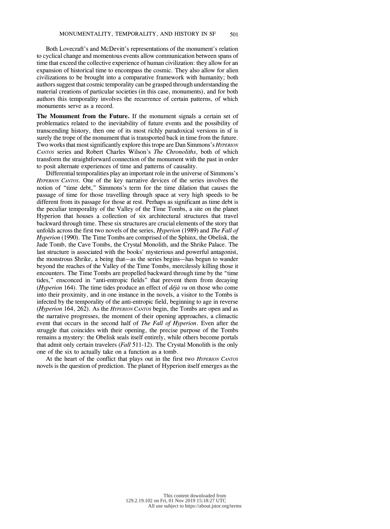Both Lovecraft's and McDevitt's representations of the monument's relation to cyclical change and momentous events allow communication between spans of time that exceed the collective experience of human civilization: they allow for an expansion of historical time to encompass the cosmic. They also allow for alien civilizations to be brought into a comparative framework with humanity; both authors suggest that cosmic temporality can be grasped through understanding the material creations of particular societies (in this case, monuments), and for both authors this temporality involves the recurrence of certain patterns, of which monuments serve as a record.

**The Monument from the Future.** If the monument signals a certain set of problematics related to the inevitability of future events and the possibility of transcending history, then one of its most richly paradoxical versions in sf is surely the trope of the monument that is transported back in time from the future. Two worksthat mostsignificantly explore thistrope are Dan Simmons's *HYPERION CANTOS* series and Robert Charles Wilson's *The Chronoliths*, both of which transform the straightforward connection of the monument with the past in order to posit alternate experiences of time and patterns of causality.

Differential temporalities play an important role in the universe of Simmons's *HYPERION CANTOS*. One of the key narrative devices of the series involves the notion of "time debt," Simmons's term for the time dilation that causes the passage of time for those travelling through space at very high speeds to be different from its passage for those at rest. Perhaps as significant as time debt is the peculiar temporality of the Valley of the Time Tombs, a site on the planet Hyperion that houses a collection of six architectural structures that travel backward through time. These six structures are crucial elements of the story that unfolds across the first two novels of the series, *Hyperion* (1989) and *The Fall of Hyperion* (1990). The Time Tombs are comprised of the Sphinx, the Obelisk, the Jade Tomb, the Cave Tombs, the Crystal Monolith, and the Shrike Palace. The last structure is associated with the books' mysterious and powerful antagonist, the monstrous Shrike, a being that—as the series begins—has begun to wander beyond the reaches of the Valley of the Time Tombs, mercilessly killing those it encounters. The Time Tombs are propelled backward through time by the "time tides," ensconced in "anti-entropic fields" that prevent them from decaying (*Hyperion* 164). The time tides produce an effect of *déjà vu* on those who come into their proximity, and in one instance in the novels, a visitor to the Tombs is infected by the temporality of the anti-entropic field, beginning to age in reverse (*Hyperion* 164, 262). As the *HYPERION CANTOS* begin, the Tombs are open and as the narrative progresses, the moment of their opening approaches, a climactic event that occurs in the second half of *The Fall of Hyperion*. Even after the struggle that coincides with their opening, the precise purpose of the Tombs remains a mystery: the Obelisk seals itself entirely, while others become portals that admit only certain travelers (*Fall* 511-12). The Crystal Monolith is the only one of the six to actually take on a function as a tomb.

At the heart of the conflict that plays out in the first two *HYPERION CANTOS* novels is the question of prediction. The planet of Hyperion itself emerges as the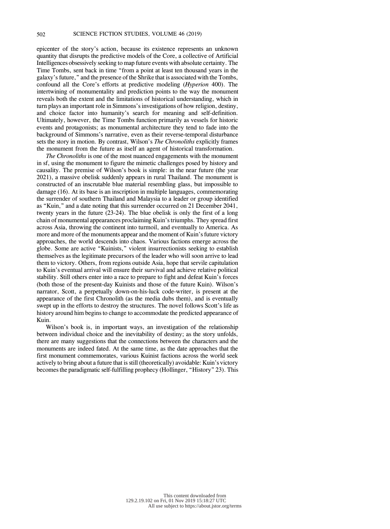epicenter of the story's action, because its existence represents an unknown quantity that disrupts the predictive models of the Core, a collective of Artificial Intelligences obsessively seeking to map future events with absolute certainty. The Time Tombs, sent back in time "from a point at least ten thousand years in the galaxy's future," and the presence of the Shrike that is associated with the Tombs, confound all the Core's efforts at predictive modeling (*Hyperion* 400). The intertwining of monumentality and prediction points to the way the monument reveals both the extent and the limitations of historical understanding, which in turn plays an important role in Simmons'sinvestigations of how religion, destiny, and choice factor into humanity's search for meaning and self-definition. Ultimately, however, the Time Tombs function primarily as vessels for historic events and protagonists; as monumental architecture they tend to fade into the background of Simmons's narrative, even as their reverse-temporal disturbance sets the story in motion. By contrast, Wilson's *The Chronoliths* explicitly frames the monument from the future as itself an agent of historical transformation.

*The Chronoliths* is one of the most nuanced engagements with the monument in sf, using the monument to figure the mimetic challenges posed by history and causality. The premise of Wilson's book is simple: in the near future (the year 2021), a massive obelisk suddenly appears in rural Thailand. The monument is constructed of an inscrutable blue material resembling glass, but impossible to damage (16). At its base is an inscription in multiple languages, commemorating the surrender of southern Thailand and Malaysia to a leader or group identified as "Kuin," and a date noting that this surrender occurred on 21 December 2041, twenty years in the future (23-24). The blue obelisk is only the first of a long chain of monumental appearances proclaiming Kuin'striumphs. They spread first across Asia, throwing the continent into turmoil, and eventually to America. As more and more of the monuments appear and the moment of Kuin's future victory approaches, the world descends into chaos. Various factions emerge across the globe. Some are active "Kuinists," violent insurrectionists seeking to establish themselves as the legitimate precursors of the leader who will soon arrive to lead them to victory. Others, from regions outside Asia, hope that servile capitulation to Kuin's eventual arrival will ensure their survival and achieve relative political stability. Still others enter into a race to prepare to fight and defeat Kuin's forces (both those of the present-day Kuinists and those of the future Kuin). Wilson's narrator, Scott, a perpetually down-on-his-luck code-writer, is present at the appearance of the first Chronolith (as the media dubs them), and is eventually swept up in the efforts to destroy the structures. The novel follows Scott's life as history around him begins to change to accommodate the predicted appearance of Kuin.

Wilson's book is, in important ways, an investigation of the relationship between individual choice and the inevitability of destiny; as the story unfolds, there are many suggestions that the connections between the characters and the monuments are indeed fated. At the same time, as the date approaches that the first monument commemorates, various Kuinist factions across the world seek actively to bring about a future that isstill (theoretically) avoidable: Kuin's victory becomesthe paradigmatic self-fulfilling prophecy (Hollinger, "History" 23). This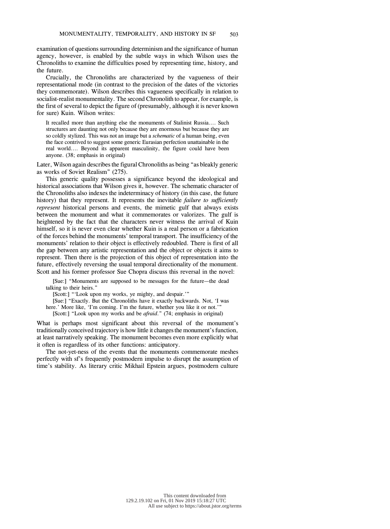examination of questions surrounding determinism and the significance of human agency, however, is enabled by the subtle ways in which Wilson uses the Chronoliths to examine the difficulties posed by representing time, history, and the future.

Crucially, the Chronoliths are characterized by the vagueness of their representational mode (in contrast to the precision of the dates of the victories they commemorate). Wilson describes this vagueness specifically in relation to socialist-realist monumentality. The second Chronolith to appear, for example, is the first of several to depict the figure of (presumably, although it is never known for sure) Kuin. Wilson writes:

It recalled more than anything else the monuments of Stalinist Russia.... Such structures are daunting not only because they are enormous but because they are so coldly stylized. This was not an image but a *schematic* of a human being, even the face contrived to suggest some generic Eurasian perfection unattainable in the real world.... Beyond its apparent masculinity, the figure could have been anyone. (38; emphasis in original)

Later, Wilson again describes the figural Chronoliths as being "as bleakly generic as works of Soviet Realism" (275).

This generic quality possesses a significance beyond the ideological and historical associations that Wilson gives it, however. The schematic character of the Chronoliths also indexes the indeterminacy of history (in this case, the future history) that they represent. It represents the inevitable *failure to sufficiently represent* historical persons and events, the mimetic gulf that always exists between the monument and what it commemorates or valorizes. The gulf is heightened by the fact that the characters never witness the arrival of Kuin himself, so it is never even clear whether Kuin is a real person or a fabrication of the forces behind the monuments' temporal transport. The insufficiency of the monuments' relation to their object is effectively redoubled. There is first of all the gap between any artistic representation and the object or objects it aims to represent. Then there is the projection of this object of representation into the future, effectively reversing the usual temporal directionality of the monument. Scott and his former professor Sue Chopra discuss this reversal in the novel:

[Sue:] "Monuments are supposed to be messages for the future—the dead talking to their heirs."

[Scott:] "'Look upon my works, ye mighty, and despair.'"

[Sue:] "Exactly. But the Chronoliths have it exactly backwards. Not, 'I was here.' More like, 'I'm coming. I'm the future, whether you like it or not.''

[Scott:] "Look upon my works and be *afraid*." (74; emphasis in original)

What is perhaps most significant about this reversal of the monument's traditionally conceived trajectory is how little it changes the monument's function, at least narratively speaking. The monument becomes even more explicitly what it often is regardless of its other functions: anticipatory.

The not-yet-ness of the events that the monuments commemorate meshes perfectly with sf's frequently postmodern impulse to disrupt the assumption of time's stability. As literary critic Mikhail Epstein argues, postmodern culture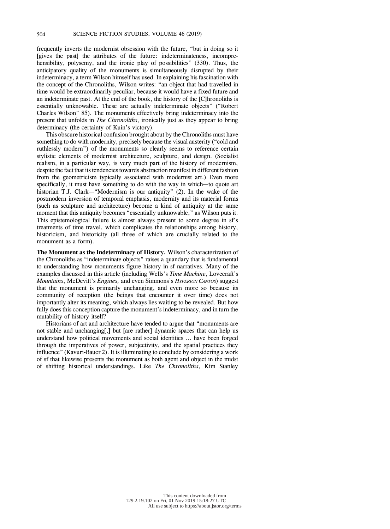frequently inverts the modernist obsession with the future, "but in doing so it [gives the past] the attributes of the future: indeterminateness, incomprehensibility, polysemy, and the ironic play of possibilities" (330). Thus, the anticipatory quality of the monuments is simultaneously disrupted by their indeterminacy, a term Wilson himself has used. In explaining his fascination with the concept of the Chronoliths, Wilson writes: "an object that had travelled in time would be extraordinarily peculiar, because it would have a fixed future and an indeterminate past. At the end of the book, the history of the [C]hronoliths is essentially unknowable. These are actually indeterminate objects" ("Robert Charles Wilson" 85). The monuments effectively bring indeterminacy into the present that unfolds in *The Chronoliths*, ironically just as they appear to bring determinacy (the certainty of Kuin's victory).

This obscure historical confusion brought about by the Chronoliths must have something to do with modernity, precisely because the visual austerity ("cold and ruthlessly modern") of the monuments so clearly seems to reference certain stylistic elements of modernist architecture, sculpture, and design. (Socialist realism, in a particular way, is very much part of the history of modernism, despite the fact that its tendencies towards abstraction manifest in different fashion from the geometricism typically associated with modernist art.) Even more specifically, it must have something to do with the way in which—to quote art historian T.J. Clark—"Modernism is our antiquity" (2). In the wake of the postmodern inversion of temporal emphasis, modernity and its material forms (such as sculpture and architecture) become a kind of antiquity at the same moment that this antiquity becomes "essentially unknowable," as Wilson puts it. This epistemological failure is almost always present to some degree in sf's treatments of time travel, which complicates the relationships among history, historicism, and historicity (all three of which are crucially related to the monument as a form).

**The Monument as the Indeterminacy of History.** Wilson's characterization of the Chronoliths as "indeterminate objects" raises a quandary that is fundamental to understanding how monuments figure history in sf narratives. Many of the examples discussed in this article (including Wells's *Time Machine*, Lovecraft's *Mountains*, McDevitt's *Engines,* and even Simmons's *HYPERION CANTOS*) suggest that the monument is primarily unchanging, and even more so because its community of reception (the beings that encounter it over time) does not importantly alter its meaning, which always lies waiting to be revealed. But how fully does this conception capture the monument's indeterminacy, and in turn the mutability of history itself?

Historians of art and architecture have tended to argue that "monuments are not stable and unchanging[,] but [are rather] dynamic spaces that can help us understand how political movements and social identities ... have been forged through the imperatives of power, subjectivity, and the spatial practices they influence" (Kavuri-Bauer 2). It is illuminating to conclude by considering a work of sf that likewise presents the monument as both agent and object in the midst of shifting historical understandings. Like *The Chronoliths*, Kim Stanley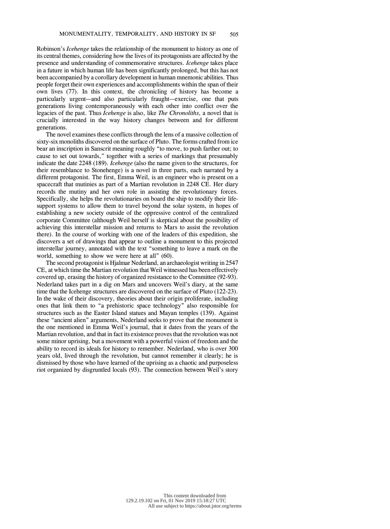Robinson's *Icehenge* takes the relationship of the monument to history as one of its central themes, considering how the lives of its protagonists are affected by the presence and understanding of commemorative structures. *Icehenge* takes place in a future in which human life has been significantly prolonged, but this has not been accompanied by a corollary development in human mnemonic abilities. Thus people forget their own experiences and accomplishments within the span of their own lives (77). In this context, the chronicling of history has become a particularly urgent—and also particularly fraught—exercise, one that puts generations living contemporaneously with each other into conflict over the legacies of the past. Thus *Icehenge* is also, like *The Chronoliths,* a novel that is crucially interested in the way history changes between and for different generations.

The novel examines these conflicts through the lens of a massive collection of sixty-six monoliths discovered on the surface of Pluto. The forms crafted from ice bear an inscription in Sanscrit meaning roughly "to move, to push farther out; to cause to set out towards," together with a series of markings that presumably indicate the date 2248 (189). *Icehenge* (also the name given to the structures, for their resemblance to Stonehenge) is a novel in three parts, each narrated by a different protagonist. The first, Emma Weil, is an engineer who is present on a spacecraft that mutinies as part of a Martian revolution in 2248 CE. Her diary records the mutiny and her own role in assisting the revolutionary forces. Specifically, she helps the revolutionaries on board the ship to modify their lifesupport systems to allow them to travel beyond the solar system, in hopes of establishing a new society outside of the oppressive control of the centralized corporate Committee (although Weil herself is skeptical about the possibility of achieving this interstellar mission and returns to Mars to assist the revolution there). In the course of working with one of the leaders of this expedition, she discovers a set of drawings that appear to outline a monument to this projected interstellar journey, annotated with the text "something to leave a mark on the world, something to show we were here at all" (60).

The second protagonist is Hjalmar Nederland, an archaeologist writing in 2547 CE, at which time the Martian revolution that Weil witnessed has been effectively covered up, erasing the history of organized resistance to the Committee (92-93). Nederland takes part in a dig on Mars and uncovers Weil's diary, at the same time that the Icehenge structures are discovered on the surface of Pluto (122-23). In the wake of their discovery, theories about their origin proliferate, including ones that link them to "a prehistoric space technology" also responsible for structures such as the Easter Island statues and Mayan temples (139). Against these "ancient alien" arguments, Nederland seeks to prove that the monument is the one mentioned in Emma Weil's journal, that it dates from the years of the Martian revolution, and that in fact its existence provesthat the revolution was not some minor uprising, but a movement with a powerful vision of freedom and the ability to record its ideals for history to remember. Nederland, who is over 300 years old, lived through the revolution, but cannot remember it clearly; he is dismissed by those who have learned of the uprising as a chaotic and purposeless riot organized by disgruntled locals (93). The connection between Weil's story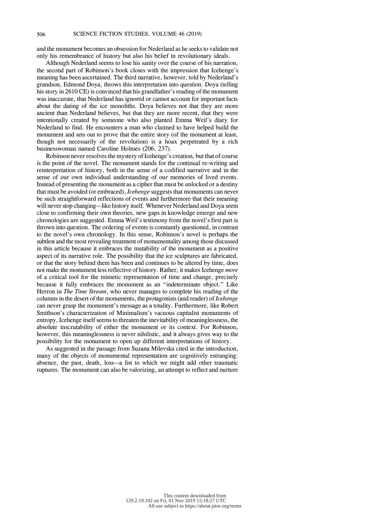and the monument becomes an obsession for Nederland as he seeks to validate not only his remembrance of history but also his belief in revolutionary ideals.

Although Nederland seems to lose his sanity over the course of his narration, the second part of Robinson's book closes with the impression that Icehenge's meaning has been ascertained. The third narrative, however, told by Nederland's grandson, Edmond Doya, throws this interpretation into question. Doya (telling his story in 2610 CE) is convinced that his grandfather's reading of the monument was inaccurate, that Nederland has ignored or cannot account for important facts about the dating of the ice monoliths. Doya believes not that they are more ancient than Nederland believes, but that they are more recent, that they were intentionally created by someone who also planted Emma Weil's diary for Nederland to find. He encounters a man who claimed to have helped build the monument and sets out to prove that the entire story (of the monument at least, though not necessarily of the revolution) is a hoax perpetrated by a rich businesswoman named Caroline Holmes (206, 237).

Robinson never resolves the mystery of Icehenge's creation, but that of course is the point of the novel. The monument stands for the continual re-writing and reinterpretation of history, both in the sense of a codified narrative and in the sense of our own individual understanding of our memories of lived events. Instead of presenting the monument as a cipher that must be unlocked or a destiny that must be avoided (or embraced), *Icehenge* suggests that monuments can never be such straightforward reflections of events and furthermore that their meaning will never stop changing—like history itself. Whenever Nederland and Doya seem close to confirming their own theories, new gaps in knowledge emerge and new chronologies are suggested. Emma Weil's testimony from the novel's first part is thrown into question. The ordering of events is constantly questioned, in contrast to the novel's own chronology. In this sense, Robinson's novel is perhaps the subtlest and the most revealing treatment of monumentality among those discussed in this article because it embraces the mutability of the monument as a positive aspect of its narrative role. The possibility that the ice sculptures are fabricated, or that the story behind them has been and continues to be altered by time, does not make the monument less reflective of history. Rather, it makes Icehenge *more* of a critical tool for the mimetic representation of time and change, precisely because it fully embraces the monument as an "indeterminate object." Like Herron in *The Time Stream*, who never manages to complete his reading of the columnsin the desert of the monuments, the protagonists(and reader) of *Icehenge* can never grasp the monument's message as a totality. Furthermore, like Robert Smithson's characterization of Minimalism's vacuous capitalist monuments of entropy, Icehenge itself seems to threaten the inevitability of meaninglessness, the absolute inscrutability of either the monument or its context. For Robinson, however, this meaninglessness is never nihilistic, and it always gives way to the possibility for the monument to open up different interpretations of history.

As suggested in the passage from Suzana Milevska cited in the introduction, many of the objects of monumental representation are cognitively estranging: absence, the past, death, loss—a list to which we might add other traumatic ruptures. The monument can also be valorizing, an attempt to reflect and nurture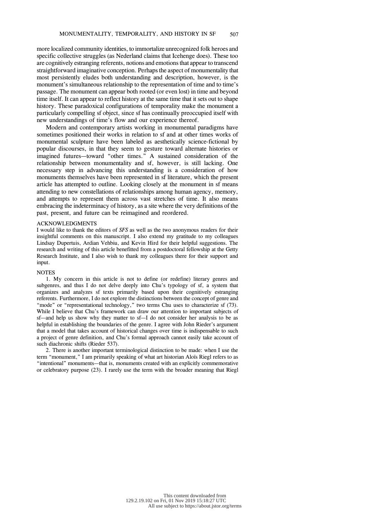more localized community identities, to immortalize unrecognized folk heroes and specific collective struggles (as Nederland claims that Icehenge does). These too are cognitively estranging referents, notions and emotions that appear to transcend straightforward imaginative conception. Perhaps the aspect of monumentality that most persistently eludes both understanding and description, however, is the monument's simultaneous relationship to the representation of time and to time's passage. The monument can appear both rooted (or even lost) in time and beyond time itself. It can appear to reflect history at the same time that it sets out to shape history. These paradoxical configurations of temporality make the monument a particularly compelling sf object, since sf has continually preoccupied itself with new understandings of time's flow and our experience thereof.

Modern and contemporary artists working in monumental paradigms have sometimes positioned their works in relation to sf and at other times works of monumental sculpture have been labeled as aesthetically science-fictional by popular discourses, in that they seem to gesture toward alternate histories or imagined futures—toward "other times." A sustained consideration of the relationship between monumentality and sf, however, is still lacking. One necessary step in advancing this understanding is a consideration of how monuments themselves have been represented in sf literature, which the present article has attempted to outline. Looking closely at the monument in sf means attending to new constellations of relationships among human agency, memory, and attempts to represent them across vast stretches of time. It also means embracing the indeterminacy of history, as a site where the very definitions of the past, present, and future can be reimagined and reordered.

#### ACKNOWLEDGMENTS

I would like to thank the editors of *SFS* as well as the two anonymous readers for their insightful comments on this manuscript. I also extend my gratitude to my colleagues Lindsay Dupertuis, Ardian Vehbiu, and Kevin Hird for their helpful suggestions. The research and writing of this article benefitted from a postdoctoral fellowship at the Getty Research Institute, and I also wish to thank my colleagues there for their support and input.

## **NOTES**

1. My concern in this article is not to define (or redefine) literary genres and subgenres, and thus I do not delve deeply into Chu's typology of sf, a system that organizes and analyzes sf texts primarily based upon their cognitively estranging referents. Furthermore, I do not explore the distinctions between the concept of genre and "mode" or "representational technology," two terms Chu uses to characterize sf (73). While I believe that Chu's framework can draw our attention to important subjects of sf—and help us show why they matter to sf—I do not consider her analysis to be as helpful in establishing the boundaries of the genre. I agree with John Rieder's argument that a model that takes account of historical changes over time is indispensable to such a project of genre definition, and Chu's formal approach cannot easily take account of such diachronic shifts (Rieder 537).

2. There is another important terminological distinction to be made: when I use the term "monument," I am primarily speaking of what art historian Aloïs Riegl refers to as "intentional" monuments—that is, monuments created with an explicitly commemorative or celebratory purpose (23). I rarely use the term with the broader meaning that Riegl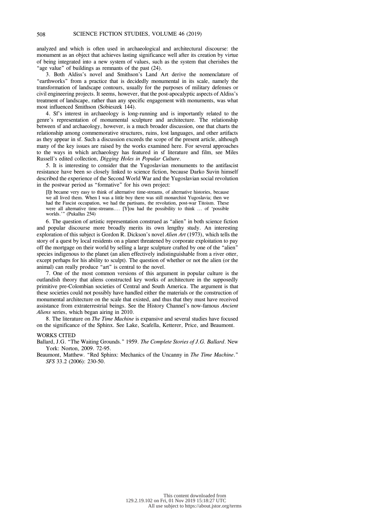analyzed and which is often used in archaeological and architectural discourse: the monument as an object that achieves lasting significance well after its creation by virtue of being integrated into a new system of values, such as the system that cherishes the "age value" of buildings as remnants of the past (24).

3. Both Aldiss's novel and Smithson's Land Art derive the nomenclature of "earthworks" from a practice that is decidedly monumental in its scale, namely the transformation of landscape contours, usually for the purposes of military defenses or civil engineering projects. It seems, however, that the post-apocalyptic aspects of Aldiss's treatment of landscape, rather than any specific engagement with monuments, was what most influenced Smithson (Sobieszek 144).

4. Sf's interest in archaeology is long-running and is importantly related to the genre's representation of monumental sculpture and architecture. The relationship between sf and archaeology, however, is a much broader discussion, one that charts the relationship among commemorative structures, ruins, lost languages, and other artifacts as they appear in sf. Such a discussion exceeds the scope of the present article, although many of the key issues are raised by the works examined here. For several approaches to the ways in which archaeology has featured in sf literature and film, see Miles Russell's edited collection, *Digging Holes in Popular Culture*.

5. It is interesting to consider that the Yugoslavian monuments to the antifascist resistance have been so closely linked to science fiction, because Darko Suvin himself described the experience of the Second World War and the Yugoslavian social revolution in the postwar period as "formative" for his own project:

[I]t became very easy to think of alternative time-streams, of alternative histories, because we all lived them. When I was a little boy there was still monarchist Yugoslavia; then we had the Fascist occupation, we had the partisans, the revolution, post-war Titoism. These were all alternative time-streams.... [Y]ou had the possibility to think ... of 'possible worlds.'" (Pukallus 254)

6. The question of artistic representation construed as "alien" in both science fiction and popular discourse more broadly merits its own lengthy study. An interesting exploration of this subject is Gordon R. Dickson's novel *Alien Art* (1973), which tells the story of a quest by local residents on a planet threatened by corporate exploitation to pay off the mortgage on their world by selling a large sculpture crafted by one of the "alien" species indigenous to the planet (an alien effectively indistinguishable from a river otter, except perhaps for his ability to sculpt). The question of whether or not the alien (or the animal) can really produce "art" is central to the novel.

7. One of the most common versions of this argument in popular culture is the outlandish theory that aliens constructed key works of architecture in the supposedly primitive pre-Colombian societies of Central and South America. The argument is that these societies could not possibly have handled either the materials or the construction of monumental architecture on the scale that existed, and thus that they must have received assistance from extraterrestrial beings. See the History Channel's now-famous *Ancient Aliens* series, which began airing in 2010.

8. The literature on *The Time Machine* is expansive and several studies have focused on the significance of the Sphinx. See Lake, Scafella, Ketterer, Price, and Beaumont.

### WORKS CITED

Ballard, J.G. "The Waiting Grounds." 1959. *The Complete Stories of J.G. Ballard*. New York: Norton, 2009. 72-95.

Beaumont, Matthew. "Red Sphinx: Mechanics of the Uncanny in *The Time Machine*." *SFS* 33.2 (2006): 230-50.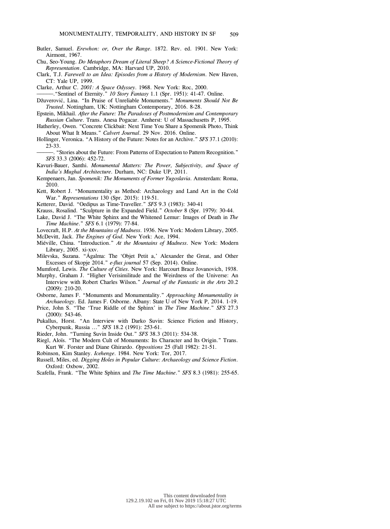- Butler, Samuel. *Erewhon: or, Over the Range*. 1872. Rev. ed. 1901. New York: Airmont, 1967.
- Chu, Seo-Young. *Do Metaphors Dream of Literal Sheep? A Science-Fictional Theory of Representation*. Cambridge, MA: Harvard UP, 2010.
- Clark, T.J. *Farewell to an Idea: Episodes from a History of Modernism*. New Haven, CT: Yale UP, 1999.

Clarke, Arthur C. *2001: A Space Odyssey*. 1968. New York: Roc, 2000.

- )))))."Sentinel of Eternity." *10 Story Fantasy* 1.1 (Spr. 1951): 41-47. Online.
- Džuveroviæ, Lina. "In Praise of Unreliable Monuments." *Monuments Should Not Be Trusted*. Nottingham, UK: Nottingham Contemporary, 2016. 8-28.
- Epstein, Mikhail. *After the Future: The Paradoxes of Postmodernism and Contemporary Russian Culture*. Trans. Anesa Pogacar. Amherst: U of Massachusetts P, 1995.
- Hatherley, Owen. "Concrete Clickbait: Next Time You Share a Spomenik Photo, Think About What It Means." *Calvert Journal*. 29 Nov. 2016. Online.
- Hollinger, Veronica. "A History of the Future: Notes for an Archive." *SFS* 37.1 (2010): 23-33.
- ))))). "Stories about the Future: From Patterns of Expectation to Pattern Recognition." *SFS* 33.3 (2006): 452-72.
- Kavuri-Bauer, Santhi. *Monumental Matters: The Power, Subjectivity, and Space of India's Mughal Architecture*. Durham, NC: Duke UP, 2011.
- Kempenaers, Jan. *Spomenik: The Monuments of Former Yugoslavia.* Amsterdam: Roma, 2010.
- Kett, Robert J. "Monumentality as Method: Archaeology and Land Art in the Cold War." *Representations* 130 (Spr. 2015): 119-51.
- Ketterer, David. "Oedipus as Time-Traveller." *SFS* 9.3 (1983): 340-41
- Krauss, Rosalind. "Sculpture in the Expanded Field." *October* 8 (Spr. 1979): 30-44.
- Lake, David J. "The White Sphinx and the Whitened Lemur: Images of Death in *The Time Machine*." *SFS* 6.1 (1979): 77-84.

Lovecraft, H.P. *At the Mountains of Madness*. 1936. New York: Modern Library, 2005. McDevitt, Jack. *The Engines of God.* New York: Ace, 1994.

- Miéville, China. "Introduction." *At the Mountains of Madness*. New York: Modern Library, 2005. xi-xxv.
- Milevska, Suzana. "Ágalma: The 'Objet Petit a,' Alexander the Great, and Other Excesses of Skopje 2014." *e-flux journal* 57 (Sep. 2014). Online.

Mumford, Lewis. *The Culture of Cities*. New York: Harcourt Brace Jovanovich, 1938.

Murphy, Graham J. "Higher Verisimilitude and the Weirdness of the Universe: An Interview with Robert Charles Wilson." *Journal of the Fantastic in the Arts* 20.2 (2009): 210-20.

Osborne, James F. "Monuments and Monumentality." *Approaching Monumentality in Archaeology*. Ed. James F. Osborne. Albany: State U of New York P, 2014. 1-19.

- Price, John S. "The 'True Riddle of the Sphinx' in *The Time Machine*." *SFS* 27.3 (2000): 543-46.
- Pukallus, Horst. "An Interview with Darko Suvin: Science Fiction and History, Cyberpunk, Russia ..." *SFS* 18.2 (1991): 253-61.

Rieder, John. "Turning Suvin Inside Out." *SFS* 38.3 (2011): 534-38.

Riegl, Aloïs. "The Modern Cult of Monuments: Its Character and Its Origin." Trans. Kurt W. Forster and Diane Ghirardo. *Oppositions* 25 (Fall 1982): 21-51.

Robinson, Kim Stanley. *Icehenge*. 1984. New York: Tor, 2017.

- Russell, Miles, ed. *Digging Holes in Popular Culture: Archaeology and Science Fiction*. Oxford: Oxbow, 2002.
- Scafella, Frank. "The White Sphinx and *The Time Machine*." *SFS* 8.3 (1981): 255-65.